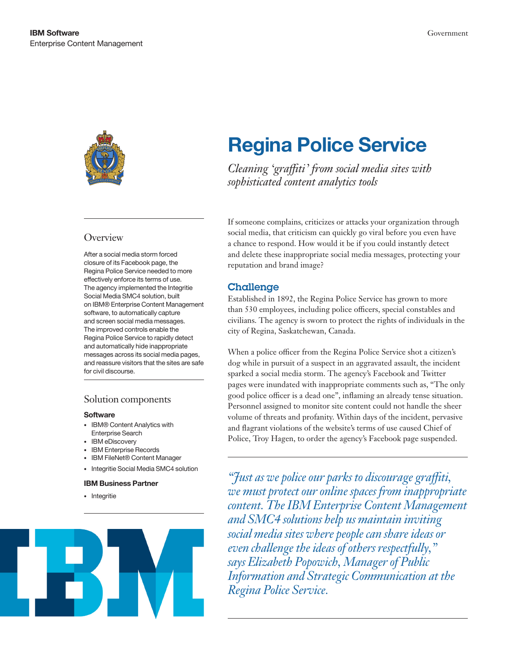

### **Overview**

After a social media storm forced closure of its Facebook page, the Regina Police Service needed to more effectively enforce its terms of use. The agency implemented the Integritie Social Media SMC4 solution, built on IBM® Enterprise Content Management software, to automatically capture and screen social media messages. The improved controls enable the Regina Police Service to rapidly detect and automatically hide inappropriate messages across its social media pages, and reassure visitors that the sites are safe for civil discourse.

### Solution components

#### **Software**

- • IBM® Content Analytics with Enterprise Search
- IBM eDiscovery
- • IBM Enterprise Records
- • IBM FileNet® Content Manager
- • Integritie Social Media SMC4 solution

### IBM Business Partner

• Integritie



# Regina Police Service

*Cleaning 'graffiti' from social media sites with sophisticated content analytics tools*

If someone complains, criticizes or attacks your organization through social media, that criticism can quickly go viral before you even have a chance to respond. How would it be if you could instantly detect and delete these inappropriate social media messages, protecting your reputation and brand image?

## Challenge

Established in 1892, the Regina Police Service has grown to more than 530 employees, including police officers, special constables and civilians. The agency is sworn to protect the rights of individuals in the city of Regina, Saskatchewan, Canada.

When a police officer from the Regina Police Service shot a citizen's dog while in pursuit of a suspect in an aggravated assault, the incident sparked a social media storm. The agency's Facebook and Twitter pages were inundated with inappropriate comments such as, "The only good police officer is a dead one", inflaming an already tense situation. Personnel assigned to monitor site content could not handle the sheer volume of threats and profanity. Within days of the incident, pervasive and flagrant violations of the website's terms of use caused Chief of Police, Troy Hagen, to order the agency's Facebook page suspended.

*"Just as we police our parks to discourage graffiti, we must protect our online spaces from inappropriate content. The IBM Enterprise Content Management and SMC4 solutions help us maintain inviting social media sites where people can share ideas or even challenge the ideas of others respectfully," says Elizabeth Popowich, Manager of Public Information and Strategic Communication at the Regina Police Service.*